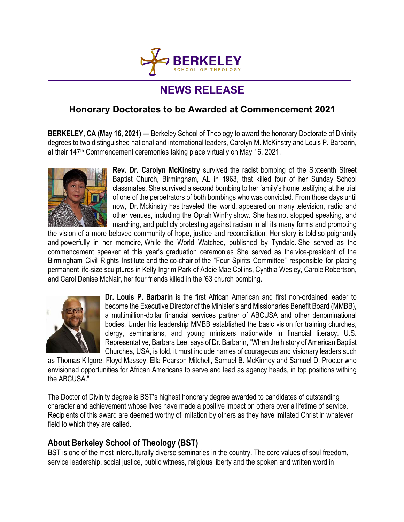

## **NEWS RELEASE**

## **Honorary Doctorates to be Awarded at Commencement 2021**

**BERKELEY, CA (May 16, 2021) —** Berkeley School of Theology to award the honorary Doctorate of Divinity degrees to two distinguished national and international leaders, Carolyn M. McKinstry and Louis P. Barbarin, at their 147<sup>th</sup> Commencement ceremonies taking place virtually on May 16, 2021.



**Rev. Dr. Carolyn McKinstry** survived the racist bombing of the Sixteenth Street Baptist Church, Birmingham, AL in 1963, that killed four of her Sunday School classmates. She survived a second bombing to her family's home testifying at the trial of one of the perpetrators of both bombings who was convicted. From those days until now, Dr. Mckinstry has traveled the world, appeared on many television, radio and other venues, including the Oprah Winfry show. She has not stopped speaking, and marching, and publicly protesting against racism in all its many forms and promoting

the vision of a more beloved community of hope, justice and reconciliation. Her story is told so poignantly and powerfully in her memoire, While the World Watched, published by Tyndale. She served as the commencement speaker at this year's graduation ceremonies She served as the vice-president of the Birmingham Civil Rights Institute and the co-chair of the "Four Spirits Committee" responsible for placing permanent life-size sculptures in Kelly Ingrim Park of Addie Mae Collins, Cynthia Wesley, Carole Robertson, and Carol Denise McNair, her four friends killed in the '63 church bombing.



**Dr. Louis P. Barbarin** is the first African American and first non-ordained leader to become the Executive Director of the Minister's and Missionaries Benefit Board (MMBB), a multimillion-dollar financial services partner of ABCUSA and other denominational bodies. Under his leadership MMBB established the basic vision for training churches, clergy, seminarians, and young ministers nationwide in financial literacy. U.S. Representative, Barbara Lee, says of Dr. Barbarin, "When the history of American Baptist Churches, USA, is told, it must include names of courageous and visionary leaders such

as Thomas Kilgore, Floyd Massey, Ella Pearson Mitchell, Samuel B. McKinney and Samuel D. Proctor who envisioned opportunities for African Americans to serve and lead as agency heads, in top positions withing the ABCUSA."

The Doctor of Divinity degree is BST's highest honorary degree awarded to candidates of outstanding character and achievement whose lives have made a positive impact on others over a lifetime of service. Recipients of this award are deemed worthy of imitation by others as they have imitated Christ in whatever field to which they are called.

## **About Berkeley School of Theology (BST)**

BST is one of the most interculturally diverse seminaries in the country. The core values of soul freedom, service leadership, social justice, public witness, religious liberty and the spoken and written word in